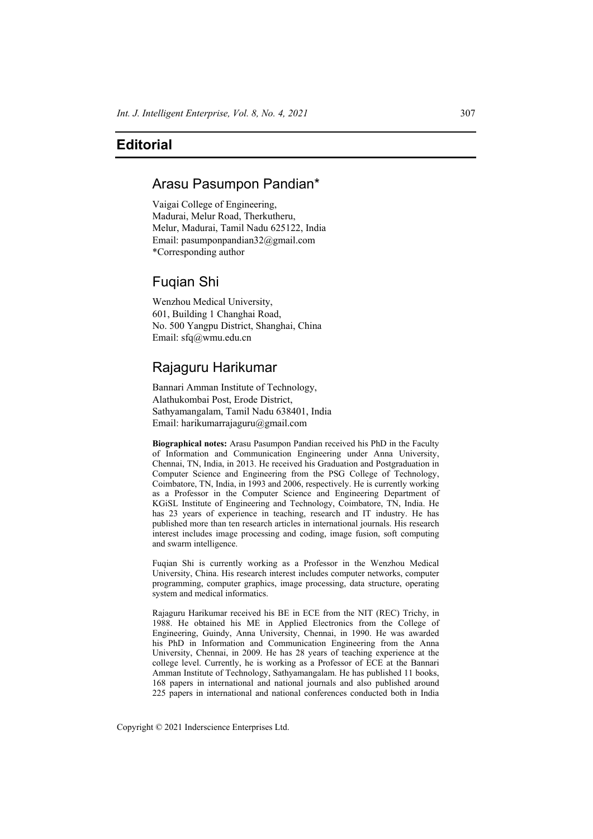# **Editorial**

### Arasu Pasumpon Pandian\*

Vaigai College of Engineering, Madurai, Melur Road, Therkutheru, Melur, Madurai, Tamil Nadu 625122, India Email: pasumponpandian32@gmail.com \*Corresponding author

## Fuqian Shi

Wenzhou Medical University, 601, Building 1 Changhai Road, No. 500 Yangpu District, Shanghai, China Email: sfq@wmu.edu.cn

## Rajaguru Harikumar

Bannari Amman Institute of Technology, Alathukombai Post, Erode District, Sathyamangalam, Tamil Nadu 638401, India Email: harikumarrajaguru@gmail.com

**Biographical notes:** Arasu Pasumpon Pandian received his PhD in the Faculty of Information and Communication Engineering under Anna University, Chennai, TN, India, in 2013. He received his Graduation and Postgraduation in Computer Science and Engineering from the PSG College of Technology, Coimbatore, TN, India, in 1993 and 2006, respectively. He is currently working as a Professor in the Computer Science and Engineering Department of KGiSL Institute of Engineering and Technology, Coimbatore, TN, India. He has 23 years of experience in teaching, research and IT industry. He has published more than ten research articles in international journals. His research interest includes image processing and coding, image fusion, soft computing and swarm intelligence.

Fuqian Shi is currently working as a Professor in the Wenzhou Medical University, China. His research interest includes computer networks, computer programming, computer graphics, image processing, data structure, operating system and medical informatics.

Rajaguru Harikumar received his BE in ECE from the NIT (REC) Trichy, in 1988. He obtained his ME in Applied Electronics from the College of Engineering, Guindy, Anna University, Chennai, in 1990. He was awarded his PhD in Information and Communication Engineering from the Anna University, Chennai, in 2009. He has 28 years of teaching experience at the college level. Currently, he is working as a Professor of ECE at the Bannari Amman Institute of Technology, Sathyamangalam. He has published 11 books, 168 papers in international and national journals and also published around 225 papers in international and national conferences conducted both in India